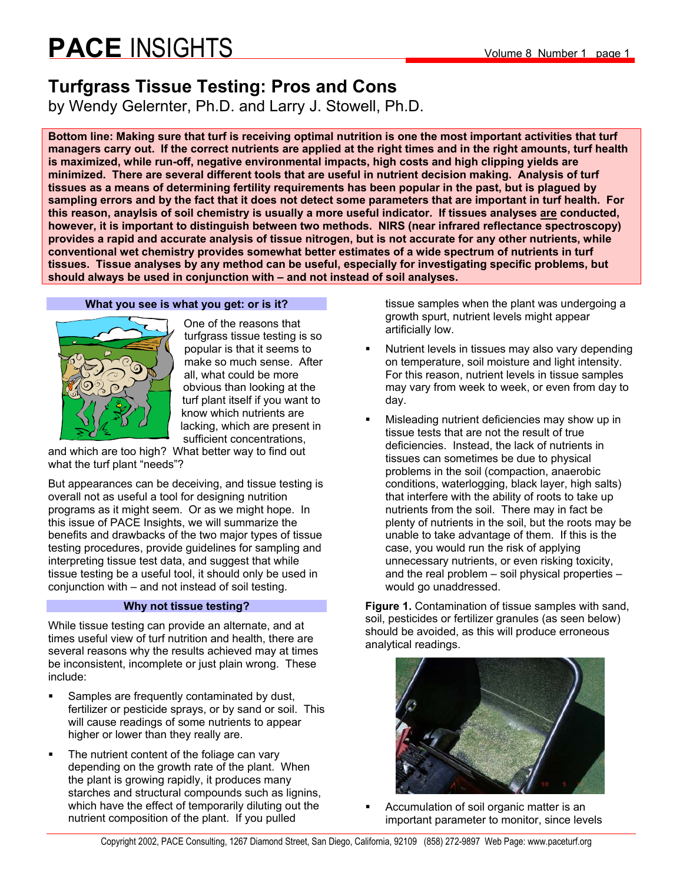### **Turfgrass Tissue Testing: Pros and Cons**

by Wendy Gelernter, Ph.D. and Larry J. Stowell, Ph.D.

**Bottom line: Making sure that turf is receiving optimal nutrition is one the most important activities that turf managers carry out. If the correct nutrients are applied at the right times and in the right amounts, turf health is maximized, while run-off, negative environmental impacts, high costs and high clipping yields are minimized. There are several different tools that are useful in nutrient decision making. Analysis of turf tissues as a means of determining fertility requirements has been popular in the past, but is plagued by sampling errors and by the fact that it does not detect some parameters that are important in turf health. For this reason, anaylsis of soil chemistry is usually a more useful indicator. If tissues analyses are conducted, however, it is important to distinguish between two methods. NIRS (near infrared reflectance spectroscopy) provides a rapid and accurate analysis of tissue nitrogen, but is not accurate for any other nutrients, while conventional wet chemistry provides somewhat better estimates of a wide spectrum of nutrients in turf tissues. Tissue analyses by any method can be useful, especially for investigating specific problems, but should always be used in conjunction with – and not instead of soil analyses.** 

#### **What you see is what you get: or is it?**



One of the reasons that turfgrass tissue testing is so popular is that it seems to make so much sense. After all, what could be more obvious than looking at the turf plant itself if you want to know which nutrients are lacking, which are present in sufficient concentrations,

and which are too high? What better way to find out what the turf plant "needs"?

But appearances can be deceiving, and tissue testing is overall not as useful a tool for designing nutrition programs as it might seem. Or as we might hope. In this issue of PACE Insights, we will summarize the benefits and drawbacks of the two major types of tissue testing procedures, provide guidelines for sampling and interpreting tissue test data, and suggest that while tissue testing be a useful tool, it should only be used in conjunction with – and not instead of soil testing.

#### **Why not tissue testing?**

While tissue testing can provide an alternate, and at times useful view of turf nutrition and health, there are several reasons why the results achieved may at times be inconsistent, incomplete or just plain wrong. These include:

- **Samples are frequently contaminated by dust,** fertilizer or pesticide sprays, or by sand or soil. This will cause readings of some nutrients to appear higher or lower than they really are.
- The nutrient content of the foliage can vary depending on the growth rate of the plant. When the plant is growing rapidly, it produces many starches and structural compounds such as lignins, which have the effect of temporarily diluting out the nutrient composition of the plant. If you pulled

tissue samples when the plant was undergoing a growth spurt, nutrient levels might appear artificially low.

- Nutrient levels in tissues may also vary depending on temperature, soil moisture and light intensity. For this reason, nutrient levels in tissue samples may vary from week to week, or even from day to day.
- Misleading nutrient deficiencies may show up in tissue tests that are not the result of true deficiencies. Instead, the lack of nutrients in tissues can sometimes be due to physical problems in the soil (compaction, anaerobic conditions, waterlogging, black layer, high salts) that interfere with the ability of roots to take up nutrients from the soil. There may in fact be plenty of nutrients in the soil, but the roots may be unable to take advantage of them. If this is the case, you would run the risk of applying unnecessary nutrients, or even risking toxicity, and the real problem – soil physical properties – would go unaddressed.

**Figure 1.** Contamination of tissue samples with sand, soil, pesticides or fertilizer granules (as seen below) should be avoided, as this will produce erroneous analytical readings.



 Accumulation of soil organic matter is an important parameter to monitor, since levels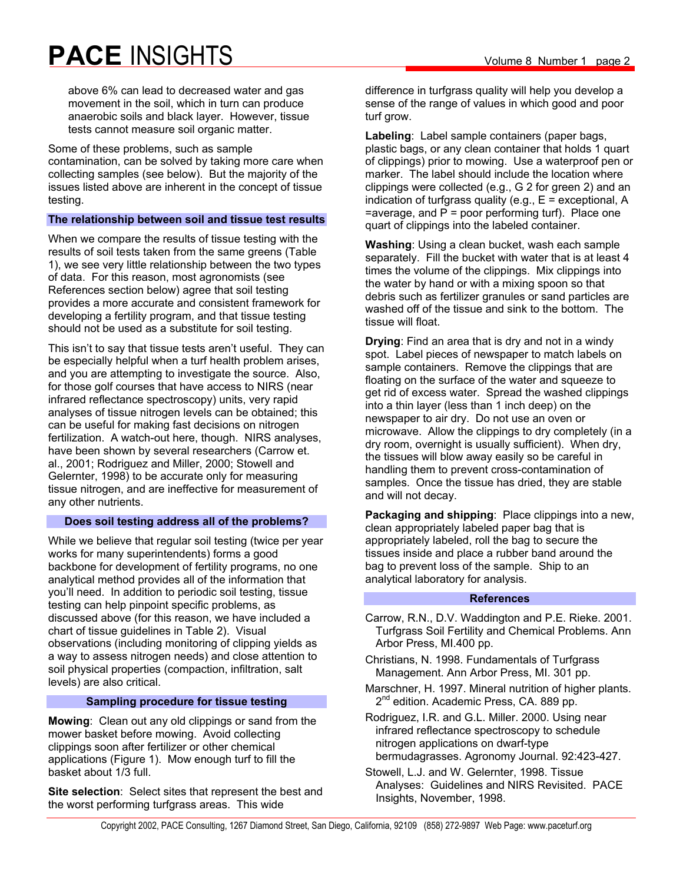above 6% can lead to decreased water and gas movement in the soil, which in turn can produce anaerobic soils and black layer. However, tissue tests cannot measure soil organic matter.

Some of these problems, such as sample contamination, can be solved by taking more care when collecting samples (see below). But the majority of the issues listed above are inherent in the concept of tissue testing.

#### **The relationship between soil and tissue test results**

When we compare the results of tissue testing with the results of soil tests taken from the same greens (Table 1), we see very little relationship between the two types of data. For this reason, most agronomists (see References section below) agree that soil testing provides a more accurate and consistent framework for developing a fertility program, and that tissue testing should not be used as a substitute for soil testing.

This isn't to say that tissue tests aren't useful. They can be especially helpful when a turf health problem arises, and you are attempting to investigate the source. Also, for those golf courses that have access to NIRS (near infrared reflectance spectroscopy) units, very rapid analyses of tissue nitrogen levels can be obtained; this can be useful for making fast decisions on nitrogen fertilization. A watch-out here, though. NIRS analyses, have been shown by several researchers (Carrow et. al., 2001; Rodriguez and Miller, 2000; Stowell and Gelernter, 1998) to be accurate only for measuring tissue nitrogen, and are ineffective for measurement of any other nutrients.

#### **Does soil testing address all of the problems?**

While we believe that regular soil testing (twice per year works for many superintendents) forms a good backbone for development of fertility programs, no one analytical method provides all of the information that you'll need. In addition to periodic soil testing, tissue testing can help pinpoint specific problems, as discussed above (for this reason, we have included a chart of tissue guidelines in Table 2). Visual observations (including monitoring of clipping yields as a way to assess nitrogen needs) and close attention to soil physical properties (compaction, infiltration, salt levels) are also critical.

#### **Sampling procedure for tissue testing**

**Mowing**: Clean out any old clippings or sand from the mower basket before mowing. Avoid collecting clippings soon after fertilizer or other chemical applications (Figure 1). Mow enough turf to fill the basket about 1/3 full.

**Site selection**: Select sites that represent the best and the worst performing turfgrass areas. This wide

difference in turfgrass quality will help you develop a sense of the range of values in which good and poor turf grow.

**Labeling**: Label sample containers (paper bags, plastic bags, or any clean container that holds 1 quart of clippings) prior to mowing. Use a waterproof pen or marker. The label should include the location where clippings were collected (e.g., G 2 for green 2) and an indication of turfgrass quality (e.g.,  $E =$  exceptional,  $A$  $=$ average, and  $P =$  poor performing turf). Place one quart of clippings into the labeled container.

**Washing**: Using a clean bucket, wash each sample separately. Fill the bucket with water that is at least 4 times the volume of the clippings. Mix clippings into the water by hand or with a mixing spoon so that debris such as fertilizer granules or sand particles are washed off of the tissue and sink to the bottom. The tissue will float.

**Drying**: Find an area that is dry and not in a windy spot. Label pieces of newspaper to match labels on sample containers. Remove the clippings that are floating on the surface of the water and squeeze to get rid of excess water. Spread the washed clippings into a thin layer (less than 1 inch deep) on the newspaper to air dry. Do not use an oven or microwave. Allow the clippings to dry completely (in a dry room, overnight is usually sufficient). When dry, the tissues will blow away easily so be careful in handling them to prevent cross-contamination of samples. Once the tissue has dried, they are stable and will not decay.

**Packaging and shipping**: Place clippings into a new, clean appropriately labeled paper bag that is appropriately labeled, roll the bag to secure the tissues inside and place a rubber band around the bag to prevent loss of the sample. Ship to an analytical laboratory for analysis.

#### **References**

- Carrow, R.N., D.V. Waddington and P.E. Rieke. 2001. Turfgrass Soil Fertility and Chemical Problems. Ann Arbor Press, MI.400 pp.
- Christians, N. 1998. Fundamentals of Turfgrass Management. Ann Arbor Press, MI. 301 pp.
- Marschner, H. 1997. Mineral nutrition of higher plants. 2<sup>nd</sup> edition. Academic Press, CA. 889 pp.
- Rodriguez, I.R. and G.L. Miller. 2000. Using near infrared reflectance spectroscopy to schedule nitrogen applications on dwarf-type bermudagrasses. Agronomy Journal. 92:423-427.
- Stowell, L.J. and W. Gelernter, 1998. Tissue Analyses: Guidelines and NIRS Revisited. PACE Insights, November, 1998.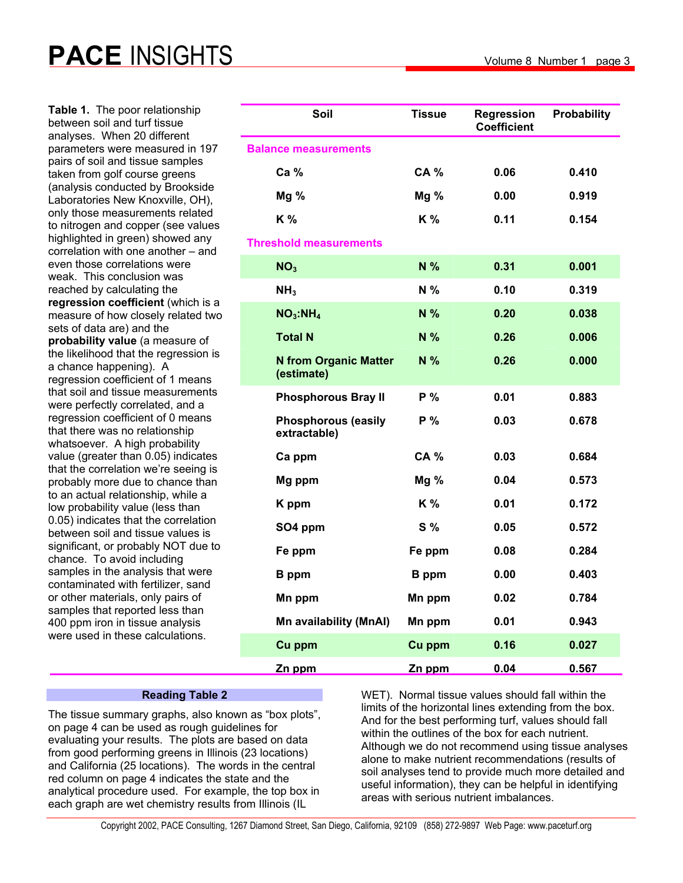**Table 1.** The poor relationship between soil and turf tissue analyses. When 20 different parameters were measured in 197 pairs of soil and tissue samples taken from golf course greens (analysis conducted by Brookside Laboratories New Knoxville, OH), only those measurements related to nitrogen and copper (see values highlighted in green) showed any correlation with one another – and even those correlations were weak. This conclusion was reached by calculating the **regression coefficient** (which is a measure of how closely related two sets of data are) and the **probability value** (a measure of the likelihood that the regression is a chance happening). A regression coefficient of 1 means that soil and tissue measurements were perfectly correlated, and a regression coefficient of 0 means that there was no relationship whatsoever. A high probability value (greater than 0.05) indicates that the correlation we're seeing is probably more due to chance than to an actual relationship, while a low probability value (less than 0.05) indicates that the correlation between soil and tissue values is significant, or probably NOT due to chance. To avoid including samples in the analysis that were contaminated with fertilizer, sand or other materials, only pairs of samples that reported less than 400 ppm iron in tissue analysis were used in these calculations.

| Soil                                       | <b>Tissue</b>  | <b>Regression</b><br><b>Coefficient</b> | <b>Probability</b> |
|--------------------------------------------|----------------|-----------------------------------------|--------------------|
| <b>Balance measurements</b>                |                |                                         |                    |
| Ca %                                       | <b>CA %</b>    | 0.06                                    | 0.410              |
| Mg <sub>0</sub>                            | $Mg\%$         | 0.00                                    | 0.919              |
| K%                                         | K %            | 0.11                                    | 0.154              |
| <b>Threshold measurements</b>              |                |                                         |                    |
| NO <sub>3</sub>                            | N %            | 0.31                                    | 0.001              |
| NH <sub>3</sub>                            | N %            | 0.10                                    | 0.319              |
| NO <sub>3</sub> :NH <sub>4</sub>           | N %            | 0.20                                    | 0.038              |
| <b>Total N</b>                             | N %            | 0.26                                    | 0.006              |
| <b>N from Organic Matter</b><br>(estimate) | N %            | 0.26                                    | 0.000              |
| <b>Phosphorous Bray II</b>                 | P %            | 0.01                                    | 0.883              |
| <b>Phosphorous (easily</b><br>extractable) | P <sub>0</sub> | 0.03                                    | 0.678              |
| Ca ppm                                     | <b>CA %</b>    | 0.03                                    | 0.684              |
| Mg ppm                                     | $Mg\%$         | 0.04                                    | 0.573              |
| K ppm                                      | K %            | 0.01                                    | 0.172              |
| SO4 ppm                                    | $S\%$          | 0.05                                    | 0.572              |
| Fe ppm                                     | Fe ppm         | 0.08                                    | 0.284              |
| <b>B</b> ppm                               | <b>B</b> ppm   | 0.00                                    | 0.403              |
| Mn ppm                                     | Mn ppm         | 0.02                                    | 0.784              |
| Mn availability (MnAl)                     | Mn ppm         | 0.01                                    | 0.943              |
| Cu ppm                                     | Cu ppm         | 0.16                                    | 0.027              |
| Zn ppm                                     | Zn ppm         | 0.04                                    | 0.567              |

#### **Reading Table 2**

The tissue summary graphs, also known as "box plots", on page 4 can be used as rough guidelines for evaluating your results. The plots are based on data from good performing greens in Illinois (23 locations) and California (25 locations). The words in the central red column on page 4 indicates the state and the analytical procedure used. For example, the top box in each graph are wet chemistry results from Illinois (IL

WET). Normal tissue values should fall within the limits of the horizontal lines extending from the box. And for the best performing turf, values should fall within the outlines of the box for each nutrient. Although we do not recommend using tissue analyses alone to make nutrient recommendations (results of soil analyses tend to provide much more detailed and useful information), they can be helpful in identifying areas with serious nutrient imbalances.